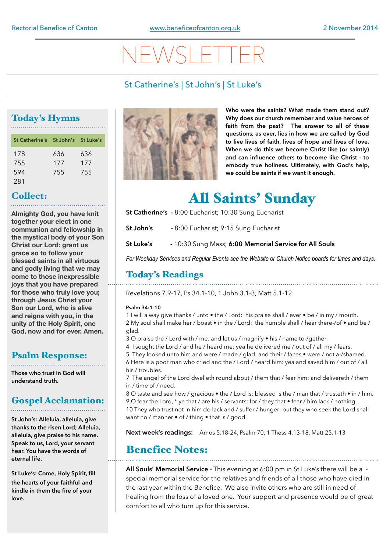# NEWSLETTER

### St Catherine's | St John's | St Luke's

### Today's Hymns

| St Catherine's St John's St Luke's |     |     |
|------------------------------------|-----|-----|
| 178                                | 636 | 636 |
| 755                                | 177 | 177 |
| 594                                | 755 | 755 |
| 281                                |     |     |

## Collect:

**Almighty God, you have knit together your elect in one communion and fellowship in the mystical body of your Son Christ our Lord: grant us grace so to follow your blessed saints in all virtuous and godly living that we may come to those inexpressible joys that you have prepared for those who truly love you; through Jesus Christ your Son our Lord, who is alive and reigns with you, in the unity of the Holy Spirit, one God, now and for ever. Amen.**

### Psalm Response:

**Those who trust in God will understand truth.** 

#### Gospel Acclamation:

**St John's: Alleluia, alleluia, give** 

**thanks to the risen Lord; Alleluia, alleluia, give praise to his name. Speak to us, Lord, your servant hear. You have the words of eternal life.** 

**St Luke's: Come, Holy Spirit, fill the hearts of your faithful and kindle in them the fire of your love.** 



**Who were the saints? What made them stand out? Why does our church remember and value heroes of faith from the past? The answer to all of these questions, as ever, lies in how we are called by God to live lives of faith, lives of hope and lives of love. When we do this we become Christ like (or saintly) and can influence others to become like Christ - to embody true holiness. Ultimately, with God's help, we could be saints if we want it enough.** 

## All Saints' Sunday

- **St Catherine's -** 8:00 Eucharist; 10:30 Sung Eucharist
- **St John's** 8:00 Eucharist; 9:15 Sung Eucharist
- **St Luke's** 10:30 Sung Mass; **6:00 Memorial Service for All Souls**

*For Weekday Services and Regular Events see the Website or Church Notice boards for times and days.*

### Today's Readings

Revelations 7.9-17, Ps 34.1-10, 1 John 3.1-3, Matt 5.1-12

#### **Psalm 34:1-10**

1 I will alway give thanks / unto • the / Lord: his praise shall / ever • be / in my / mouth. 2 My soul shall make her / boast • in the / Lord: the humble shall / hear there-/of • and be / glad.

3 O praise the / Lord with / me: and let us / magnify • his / name to-/gether.

4 I sought the Lord / and he / heard me: yea he delivered me / out of / all my / fears.

5 They looked unto him and were / made / glad: and their / faces • were / not a-/shamed. 6 Here is a poor man who cried and the / Lord / heard him: yea and saved him / out of / all his / troubles.

7 The angel of the Lord dwelleth round about / them that / fear him: and delivereth / them in / time of / need.

8 O taste and see how / gracious • the / Lord is: blessed is the / man that / trusteth • in / him. 9 O fear the Lord, \* ye that / are his / servants: for / they that • fear / him lack / nothing. 10 They who trust not in him do lack and / suffer / hunger: but they who seek the Lord shall want no / manner • of / thing • that is / good.

**Next week's readings:** Amos 5.18-24, Psalm 70, 1 Thess 4.13-18, Matt 25.1-13

### Benefice Notes:

**All Souls' Memorial Service** - This evening at 6:00 pm in St Luke's there will be a special memorial service for the relatives and friends of all those who have died in the last year within the Benefice. We also invite others who are still in need of healing from the loss of a loved one. Your support and presence would be of great comfort to all who turn up for this service.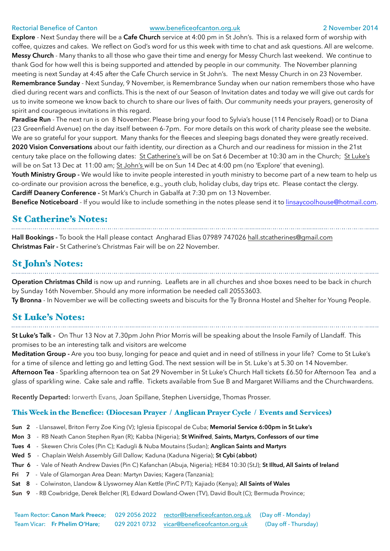#### Rectorial Benefice of Canton [www.beneficeofcanton.org.uk](http://www.beneficeofcanton.org.uk) 2 November 2014

**Explore** - Next Sunday there will be a **Cafe Church** service at 4:00 pm in St John's. This is a relaxed form of worship with coffee, quizzes and cakes. We reflect on God's word for us this week with time to chat and ask questions. All are welcome. **Messy Church** - Many thanks to all those who gave their time and energy for Messy Church last weekend. We continue to thank God for how well this is being supported and attended by people in our community. The November planning meeting is next Sunday at 4:45 after the Cafe Church service in St John's. The next Messy Church in on 23 November. **Remembrance Sunday** - Next Sunday, 9 November, is Remembrance Sunday when our nation remembers those who have died during recent wars and conflicts. This is the next of our Season of Invitation dates and today we will give out cards for us to invite someone we know back to church to share our lives of faith. Our community needs your prayers, generosity of spirit and courageous invitations in this regard.

Paradise Run - The next run is on 8 November. Please bring your food to Sylvia's house (114 Pencisely Road) or to Diana (23 Greenfield Avenue) on the day itself between 6-7pm. For more details on this work of charity please see the website. We are so grateful for your support. Many thanks for the fleeces and sleeping bags donated they were greatly received. **2020 Vision Conversations** about our faith identity, our direction as a Church and our readiness for mission in the 21st century take place on the following dates: St Catherine's will be on Sat 6 December at 10:30 am in the Church; St Luke's will be on Sat 13 Dec at 11:00 am; St John's will be on Sun 14 Dec at 4:00 pm (no 'Explore' that evening).

Youth Ministry Group - We would like to invite people interested in youth ministry to become part of a new team to help us co-ordinate our provision across the benefice, e.g., youth club, holiday clubs, day trips etc. Please contact the clergy. **Cardiff Deanery Conference -** St Mark's Church in Gabalfa at 7:30 pm on 13 November.

**Benefice Noticeboard** - If you would like to include something in the notes please send it to [linsaycoolhouse@hotmail.com](mailto:linsaycoolhouse@hotmail.com).

### St Catherine's Notes:

**Hall Bookings -** To book the Hall please contact Angharad Elias 07989 747026 [hall.stcatherines@gmail.com](mailto:hall.stcatherines@gmail.com)  **Christmas Fair -** St Catherine's Christmas Fair will be on 22 November.

### St John's Notes:

**Operation Christmas Child** is now up and running. Leaflets are in all churches and shoe boxes need to be back in church by Sunday 16th November. Should any more information be needed call 20553603. **Ty Bronna** - In November we will be collecting sweets and biscuits for the Ty Bronna Hostel and Shelter for Young People.

#### St Luke's Notes:

**St Luke's Talk -** On Thur 13 Nov at 7.30pm John Prior Morris will be speaking about the Insole Family of Llandaff. This promises to be an interesting talk and visitors are welcome

**Meditation Group -** Are you too busy, longing for peace and quiet and in need of stillness in your life? Come to St Luke's for a time of silence and letting go and letting God. The next session will be in St. Luke's at 5.30 on 14 November. **Afternoon Tea** - Sparkling afternoon tea on Sat 29 November in St Luke's Church Hall tickets £6.50 for Afternoon Tea and a glass of sparkling wine. Cake sale and raffle. Tickets available from Sue B and Margaret Williams and the Churchwardens.

**Recently Departed:** Iorwerth Evans, Joan Spillane, Stephen Liversidge, Thomas Prosser.

#### This Week in the Benefice: (Diocesan Prayer / Anglican Prayer Cycle / Events and Services)

- **Sun 2**  Llansawel, Briton Ferry Zoe King (V); Iglesia Episcopal de Cuba; **Memorial Service 6:00pm in St Luke's**
- **Mon 3**  RB Neath Canon Stephen Ryan (R); Kabba (Nigeria); **St Winifred**, **Saints, Martyrs, Confessors of our time**
- **Tues 4**  Skewen Chris Coles (Pin C); Kadugli & Nuba Moutains (Sudan); **Anglican Saints and Martyrs**
- **Wed 5**  Chaplain Welsh Assembly Gill Dallow; Kaduna (Kaduna Nigeria); **St Cybi (abbot)**
- **Thur 6**  Vale of Neath Andrew Davies (Pin C) Kafanchan (Abuja, Nigeria); HE84 10:30 (StJ); **St Illtud, All Saints of Ireland**
- **Fri 7**  Vale of Glamorgan Area Dean: Martyn Davies; Kagera (Tanzania);
- **Sat 8**  Colwinston, Llandow & Llysworney Alan Kettle (PinC P/T); Kajiado (Kenya); **All Saints of Wales**
- **Sun 9** RB Cowbridge, Derek Belcher (R), Edward Dowland-Owen (TV), David Boult (C); Bermuda Province;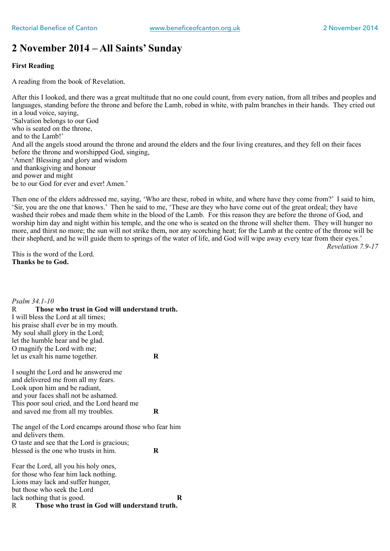### **2 November 2014 – All Saints' Sunday**

#### **First Reading**

A reading from the book of Revelation.

After this I looked, and there was a great multitude that no one could count, from every nation, from all tribes and peoples and languages, standing before the throne and before the Lamb, robed in white, with palm branches in their hands. They cried out in a loud voice, saying, 'Salvation belongs to our God who is seated on the throne, and to the Lamb!' And all the angels stood around the throne and around the elders and the four living creatures, and they fell on their faces before the throne and worshipped God, singing, 'Amen! Blessing and glory and wisdom and thanksgiving and honour and power and might be to our God for ever and ever! Amen.'

Then one of the elders addressed me, saying, 'Who are these, robed in white, and where have they come from?' I said to him, 'Sir, you are the one that knows.' Then he said to me, 'These are they who have come out of the great ordeal; they have washed their robes and made them white in the blood of the Lamb. For this reason they are before the throne of God, and worship him day and night within his temple, and the one who is seated on the throne will shelter them. They will hunger no more, and thirst no more; the sun will not strike them, nor any scorching heat; for the Lamb at the centre of the throne will be their shepherd, and he will guide them to springs of the water of life, and God will wipe away every tear from their eyes.' *Revelation 7.9-17* 

This is the word of the Lord. **Thanks be to God.** 

*Psalm 34.1-10*  R **Those who trust in God will understand truth.**  I will bless the Lord at all times; his praise shall ever be in my mouth. My soul shall glory in the Lord; let the humble hear and be glad. O magnify the Lord with me; let us exalt his name together. **R**  I sought the Lord and he answered me and delivered me from all my fears. Look upon him and be radiant, and your faces shall not be ashamed. This poor soul cried, and the Lord heard me and saved me from all my troubles. **R**  The angel of the Lord encamps around those who fear him and delivers them. O taste and see that the Lord is gracious; blessed is the one who trusts in him. **R**  Fear the Lord, all you his holy ones, for those who fear him lack nothing. Lions may lack and suffer hunger, but those who seek the Lord lack nothing that is good. **R** R **Those who trust in God will understand truth.**